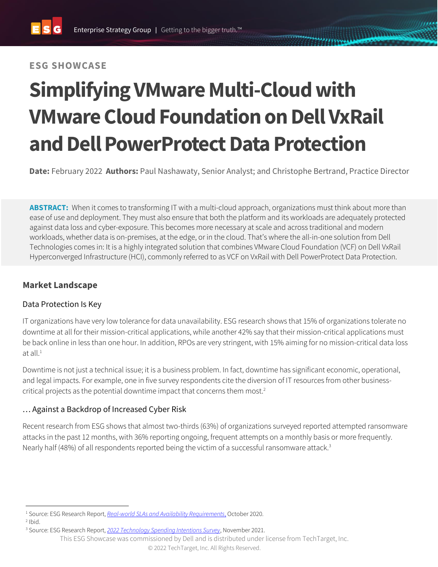## **ESG SHOWCASE**

# **SimplifyingVMware Multi-Cloud with VMware Cloud Foundation on Dell VxRail and Dell PowerProtect Data Protection**

**Date:** February 2022 **Authors:** Paul Nashawaty, Senior Analyst; and Christophe Bertrand, Practice Director

**ABSTRACT:** When it comes to transforming IT with a multi-cloud approach, organizations must think about more than ease of use and deployment. They must also ensure that both the platform and its workloads are adequately protected against data loss and cyber-exposure. This becomes more necessary at scale and across traditional and modern workloads, whether data is on-premises, at the edge, or in the cloud. That's where the all-in-one solution from Dell Technologies comes in: It is a highly integrated solution that combines VMware Cloud Foundation (VCF) on Dell VxRail Hyperconverged Infrastructure (HCI), commonly referred to as VCF on VxRail with Dell PowerProtect Data Protection.

## **Market Landscape**

#### Data Protection Is Key

IT organizations have very low tolerance for data unavailability. ESG research shows that 15% of organizations tolerate no downtime at all for their mission-critical applications, while another 42% say that their mission-critical applications must be back online in less than one hour. In addition, RPOs are very stringent, with 15% aiming for no mission-critical data loss at all. 1

Downtime is not just a technical issue; it is a business problem. In fact, downtime has significant economic, operational, and legal impacts. For example, one in five survey respondents cite the diversion of IT resources from other businesscritical projects as the potential downtime impact that concerns them most. 2

### … Against a Backdrop of Increased Cyber Risk

Recent research from ESG shows that almost two-thirds (63%) of organizations surveyed reported attempted ransomware attacks in the past 12 months, with 36% reporting ongoing, frequent attempts on a monthly basis or more frequently. Nearly half (48%) of all respondents reported being the victim of a successful ransomware attack.<sup>3</sup>

<sup>1</sup> Source: ESG Research Report, *[Real-world SLAs and Availability Requirements](https://research.esg-global.com/reportaction/Real-worldSLAsandAvailabilityRequirements/Toc)*, October 2020.

 $2$  Ibid.

<sup>3</sup> Source: ESG Research Report, *[2022 Technology Spending Intentions Survey](https://www.esg-global.com/2022-technology-spending)*, November 2021.

This ESG Showcase was commissioned by Dell and is distributed under license from TechTarget, Inc.

<sup>© 2022</sup> TechTarget, Inc. All Rights Reserved.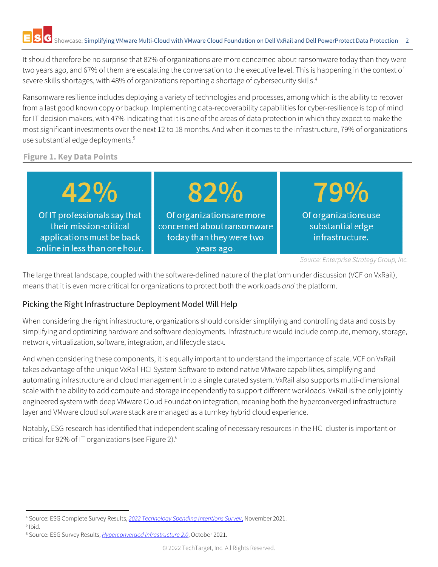It should therefore be no surprise that 82% of organizations are more concerned about ransomware today than they were two years ago, and 67% of them are escalating the conversation to the executive level. This is happening in the context of severe skills shortages, with 48% of organizations reporting a shortage of cybersecurity skills.<sup>4</sup>

Ransomware resilience includes deploying a variety of technologies and processes, among which is the ability to recover from a last good known copy or backup. Implementing data-recoverability capabilities for cyber-resilience is top of mind for IT decision makers, with 47% indicating that it is one of the areas of data protection in which they expect to make the most significant investments over the next 12 to 18 months. And when it comes to the infrastructure, 79% of organizations use substantial edge deployments.<sup>5</sup>

#### **Figure 1. Key Data Points**

42% 82% 79% Of organizations use Of IT professionals say that Of organizations are more their mission-critical concerned about ransomware substantial edge applications must be back today than they were two infrastructure. online in less than one hour. years ago.

The large threat landscape, coupled with the software-defined nature of the platform under discussion (VCF on VxRail), means that it is even more critical for organizations to protect both the workloads *and* the platform.

## Picking the Right Infrastructure Deployment Model Will Help

When considering the right infrastructure, organizations should consider simplifying and controlling data and costs by simplifying and optimizing hardware and software deployments. Infrastructure would include compute, memory, storage, network, virtualization, software, integration, and lifecycle stack.

And when considering these components, it is equally important to understand the importance of scale. VCF on VxRail takes advantage of the unique VxRail HCI System Software to extend native VMware capabilities, simplifying and automating infrastructure and cloud management into a single curated system. VxRail also supports multi-dimensional scale with the ability to add compute and storage independently to support different workloads. VxRail is the only jointly engineered system with deep VMware Cloud Foundation integration, meaning both the hyperconverged infrastructure layer and VMware cloud software stack are managed as a turnkey hybrid cloud experience.

Notably, ESG research has identified that independent scaling of necessary resources in the HCI cluster is important or critical for 92% of IT organizations (see Figure 2). 6

*Source: Enterprise Strategy Group, Inc.*

<sup>4</sup> Source: ESG Complete Survey Results, *[2022 Technology Spending Intentions Survey](https://research.esg-global.com/reportaction/2022TechnologySpendingIntentionsSurveyCSR/Toc)*, November 2021.

<sup>5</sup> Ibid.

<sup>&</sup>lt;sup>6</sup> Source: ESG Survey Results, *[Hyperconverged Infrastructure 2.0](https://research.esg-global.com/reportaction/HyperconvergedInfrastructure2.0/Toc?SearchTerms=hci%20)*, October 2021.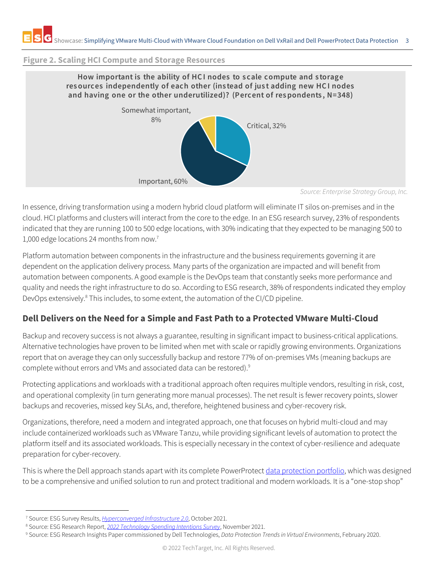#### **Figure 2. Scaling HCI Compute and Storage Resources**



*Source: Enterprise Strategy Group, Inc.*

In essence, driving transformation using a modern hybrid cloud platform will eliminate IT silos on-premises and in the cloud. HCI platforms and clusters will interact from the core to the edge. In an ESG research survey, 23% of respondents indicated that they are running 100 to 500 edge locations, with 30% indicating that they expected to be managing 500 to 1,000 edge locations 24 months from now. 7

Platform automation between components in the infrastructure and the business requirements governing it are dependent on the application delivery process. Many parts of the organization are impacted and will benefit from automation between components. A good example is the DevOps team that constantly seeks more performance and quality and needs the right infrastructure to do so. According to ESG research, 38% of respondents indicated they employ DevOps extensively.<sup>8</sup> This includes, to some extent, the automation of the CI/CD pipeline.

## **Dell Delivers on the Need for a Simple and Fast Path to a Protected VMware Multi-Cloud**

Backup and recovery success is not always a guarantee, resulting in significant impact to business-critical applications. Alternative technologies have proven to be limited when met with scale or rapidly growing environments. Organizations report that on average they can only successfully backup and restore 77% of on-premises VMs (meaning backups are complete without errors and VMs and associated data can be restored). 9

Protecting applications and workloads with a traditional approach often requires multiple vendors, resulting in risk, cost, and operational complexity (in turn generating more manual processes). The net result is fewer recovery points, slower backups and recoveries, missed key SLAs, and, therefore, heightened business and cyber-recovery risk.

Organizations, therefore, need a modern and integrated approach, one that focuses on hybrid multi-cloud and may include containerized workloads such as VMware Tanzu, while providing significant levels of automation to protect the platform itself and its associated workloads. This is especially necessary in the context of cyber-resilience and adequate preparation for cyber-recovery.

This is where the Dell approach stands apart with its complete PowerProtect [data protection](http://www.delltechnologies.com/dataprotection) portfolio, which was designed to be a comprehensive and unified solution to run and protect traditional and modern workloads. It is a "one-stop shop"

<sup>7</sup> Source: ESG Survey Results, *[Hyperconverged Infrastructure 2.0](https://research.esg-global.com/reportaction/HyperconvergedInfrastructure2.0/Toc?SearchTerms=hci%20)*, October 2021.

<sup>8</sup> Source: ESG Research Report, *[2022 Technology Spending Intentions Survey](https://www.esg-global.com/2022-technology-spending)*, November 2021.

<sup>9</sup> Source: ESG Research Insights Paper commissioned by Dell Technologies, *Data Protection Trends in Virtual Environments*, February 2020.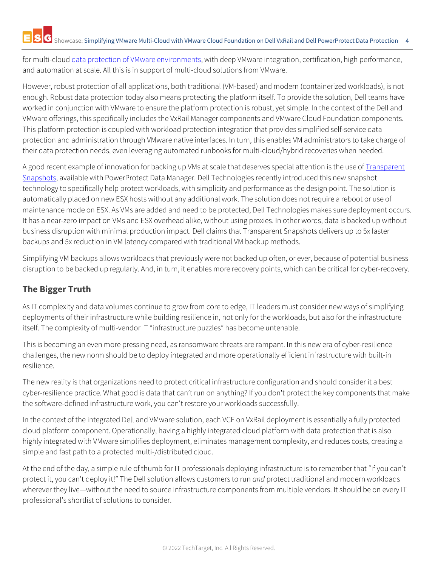for multi-cloud data protection of [VMware environments,](https://www.delltechnologies.com/en-us/data-protection/protection-vmware.htm#tab0=0) with deep VMware integration, certification, high performance, and automation at scale. All this is in support of multi-cloud solutions from VMware.

However, robust protection of all applications, both traditional (VM-based) and modern (containerized workloads), is not enough. Robust data protection today also means protecting the platform itself. To provide the solution, Dell teams have worked in conjunction with VMware to ensure the platform protection is robust, yet simple. In the context of the Dell and VMware offerings, this specifically includes the VxRail Manager components and VMware Cloud Foundation components. This platform protection is coupled with workload protection integration that provides simplified self-service data protection and administration through VMware native interfaces. In turn, this enables VM administrators to take charge of their data protection needs, even leveraging automated runbooks for multi-cloud/hybrid recoveries when needed.

A good recent example of innovation for backing up VMs at scale that deserves special attention is the use of Transparent [Snapshots,](https://www.delltechnologies.com/en-us/data-protection/powerprotect-data-manager.htm) available with PowerProtect Data Manager. Dell Technologies recently introduced this new snapshot technology to specifically help protect workloads, with simplicity and performance as the design point. The solution is automatically placed on new ESX hosts without any additional work. The solution does not require a reboot or use of maintenance mode on ESX. As VMs are added and need to be protected, Dell Technologies makes sure deployment occurs. It has a near-zero impact on VMs and ESX overhead alike, without using proxies. In other words, data is backed up without business disruption with minimal production impact. Dell claims that Transparent Snapshots delivers up to 5x faster backups and 5x reduction in VM latency compared with traditional VM backup methods.

Simplifying VM backups allows workloads that previously were not backed up often, or ever, because of potential business disruption to be backed up regularly. And, in turn, it enables more recovery points, which can be critical for cyber-recovery.

## **The Bigger Truth**

As IT complexity and data volumes continue to grow from core to edge, IT leaders must consider new ways of simplifying deployments of their infrastructure while building resilience in, not only for the workloads, but also for the infrastructure itself. The complexity of multi-vendor IT "infrastructure puzzles" has become untenable.

This is becoming an even more pressing need, as ransomware threats are rampant. In this new era of cyber-resilience challenges, the new norm should be to deploy integrated and more operationally efficient infrastructure with built-in resilience.

The new reality is that organizations need to protect critical infrastructure configuration and should consider it a best cyber-resilience practice. What good is data that can't run on anything? If you don't protect the key components that make the software-defined infrastructure work, you can't restore your workloads successfully!

In the context of the integrated Dell and VMware solution, each VCF on VxRail deployment is essentially a fully protected cloud platform component. Operationally, having a highly integrated cloud platform with data protection that is also highly integrated with VMware simplifies deployment, eliminates management complexity, and reduces costs, creating a simple and fast path to a protected multi-/distributed cloud.

At the end of the day, a simple rule of thumb for IT professionals deploying infrastructure is to remember that "if you can't protect it, you can't deploy it!" The Dell solution allows customers to run *and* protect traditional and modern workloads wherever they live—without the need to source infrastructure components from multiple vendors. It should be on every IT professional's shortlist of solutions to consider.